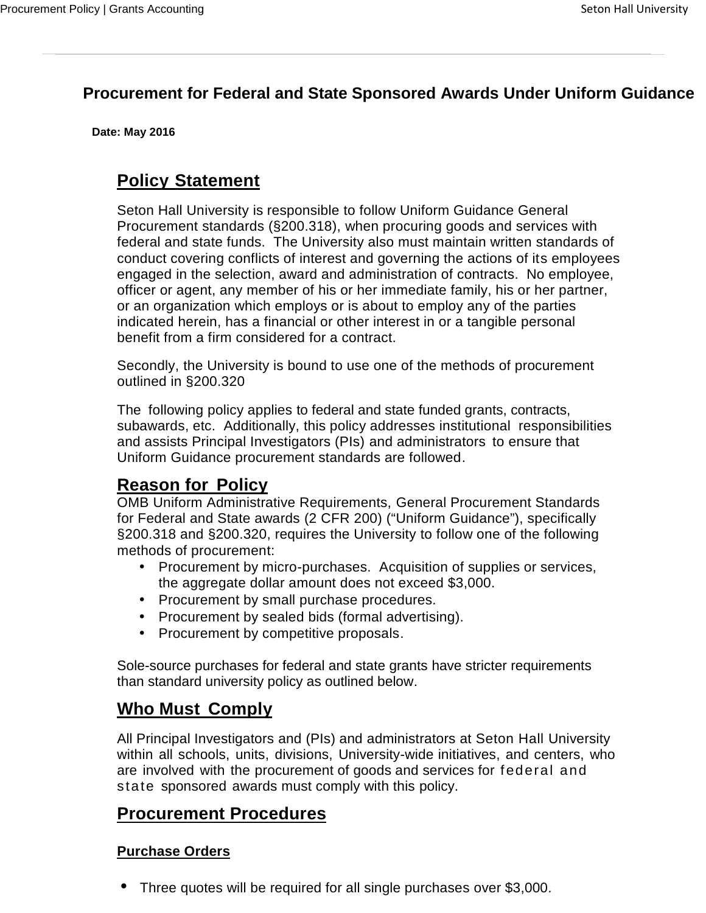### **Procurement for Federal and State Sponsored Awards Under Uniform Guidance**

**Date: May 2016**

## **Policy Statement**

Seton Hall University is responsible to follow Uniform Guidance General Procurement standards (§200.318), when procuring goods and services with federal and state funds. The University also must maintain written standards of conduct covering conflicts of interest and governing the actions of its employees engaged in the selection, award and administration of contracts. No employee, officer or agent, any member of his or her immediate family, his or her partner, or an organization which employs or is about to employ any of the parties indicated herein, has a financial or other interest in or a tangible personal benefit from a firm considered for a contract.

Secondly, the University is bound to use one of the methods of procurement outlined in §200.320

The following policy applies to federal and state funded grants, contracts, subawards, etc. Additionally, this policy addresses institutional responsibilities and assists Principal Investigators (PIs) and administrators to ensure that Uniform Guidance procurement standards are followed.

## **Reason for Policy**

OMB Uniform Administrative Requirements, General Procurement Standards for Federal and State awards (2 CFR 200) ("Uniform Guidance"), specifically §200.318 and §200.320, requires the University to follow one of the following methods of procurement:

- Procurement by micro-purchases. Acquisition of supplies or services, the aggregate dollar amount does not exceed \$3,000.
- Procurement by small purchase procedures.
- Procurement by sealed bids (formal advertising).
- Procurement by competitive proposals.

Sole-source purchases for federal and state grants have stricter requirements than standard university policy as outlined below.

## **Who Must Comply**

All Principal Investigators and (PIs) and administrators at Seton Hall University within all schools, units, divisions, University-wide initiatives, and centers, who are involved with the procurement of goods and services for federal and state sponsored awards must comply with this policy.

## **Procurement Procedures**

#### **Purchase Orders**

Three quotes will be required for all single purchases over \$3,000.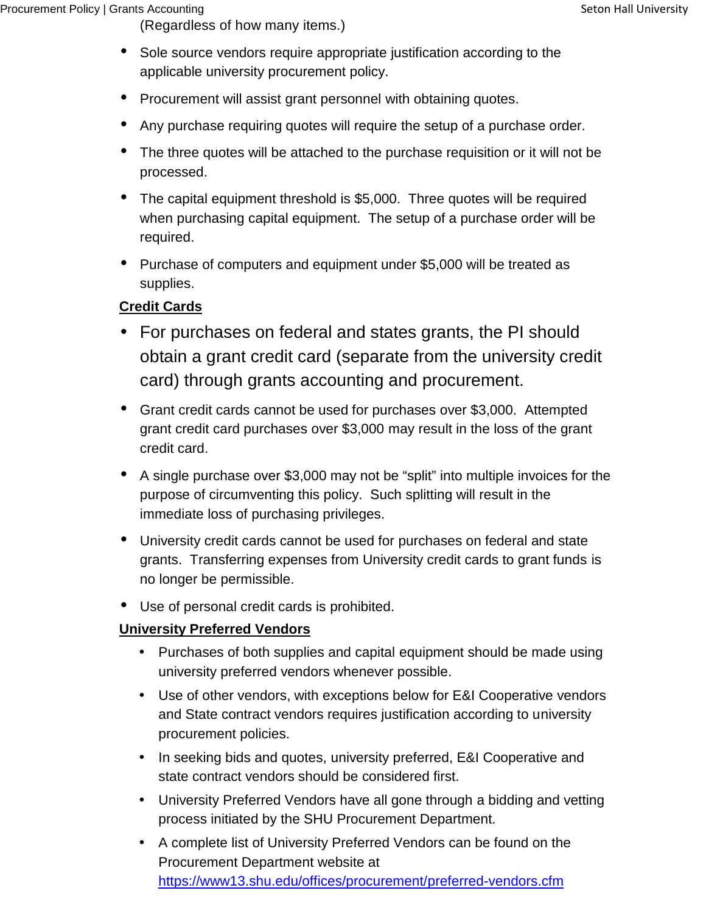(Regardless of how many items.)

- Sole source vendors require appropriate justification according to the applicable university procurement policy.
- Procurement will assist grant personnel with obtaining quotes.
- Any purchase requiring quotes will require the setup of a purchase order.
- The three quotes will be attached to the purchase requisition or it will not be processed.
- The capital equipment threshold is \$5,000. Three quotes will be required when purchasing capital equipment. The setup of a purchase order will be required.
- Purchase of computers and equipment under \$5,000 will be treated as supplies.

#### **Credit Cards**

- For purchases on federal and states grants, the PI should obtain a grant credit card (separate from the university credit card) through grants accounting and procurement.
- Grant credit cards cannot be used for purchases over \$3,000. Attempted grant credit card purchases over \$3,000 may result in the loss of the grant credit card.
- A single purchase over \$3,000 may not be "split" into multiple invoices for the purpose of circumventing this policy. Such splitting will result in the immediate loss of purchasing privileges.
- University credit cards cannot be used for purchases on federal and state grants. Transferring expenses from University credit cards to grant funds is no longer be permissible.
- Use of personal credit cards is prohibited.

#### **University Preferred Vendors**

- Purchases of both supplies and capital equipment should be made using university preferred vendors whenever possible.
- Use of other vendors, with exceptions below for E&I Cooperative vendors and State contract vendors requires justification according to university procurement policies.
- In seeking bids and quotes, university preferred, E&I Cooperative and state contract vendors should be considered first.
- University Preferred Vendors have all gone through a bidding and vetting process initiated by the SHU Procurement Department.
- A complete list of University Preferred Vendors can be found on the Procurement Department website at https://www13.shu.edu/offices/procurement/preferred-vendors.cfm